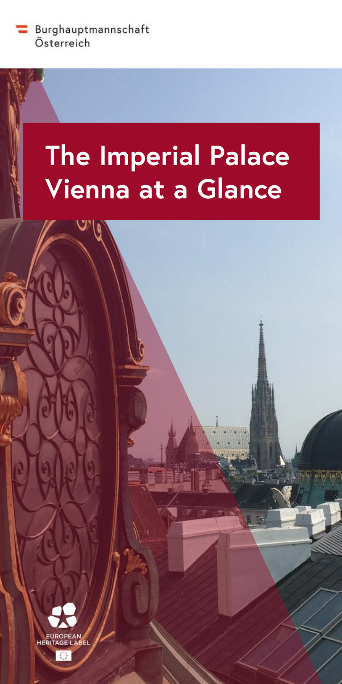Burghauptmannschaft Österreich

# **The Imperial Palace Vienna at a Glance**

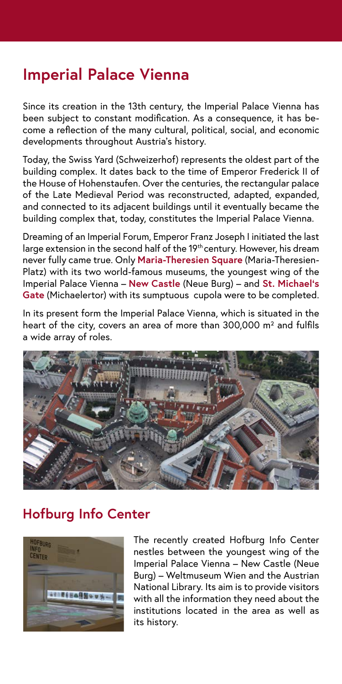## **Imperial Palace Vienna**

Since its creation in the 13th century, the Imperial Palace Vienna has been subject to constant modification. As a consequence, it has become a reflection of the many cultural, political, social, and economic developments throughout Austria's history.

Today, the Swiss Yard (Schweizerhof) represents the oldest part of the building complex. It dates back to the time of Emperor Frederick II of the House of Hohenstaufen. Over the centuries, the rectangular palace of the Late Medieval Period was reconstructed, adapted, expanded, and connected to its adjacent buildings until it eventually became the building complex that, today, constitutes the Imperial Palace Vienna.

Dreaming of an Imperial Forum, Emperor Franz Joseph I initiated the last large extension in the second half of the 19<sup>th</sup> century. However, his dream never fully came true. Only **Maria-Theresien Square** (Maria-Theresien-Platz) with its two world-famous museums, the youngest wing of the Imperial Palace Vienna – **New Castle** (Neue Burg) – and **St. Michael's Gate** (Michaelertor) with its sumptuous cupola were to be completed.

In its present form the Imperial Palace Vienna, which is situated in the heart of the city, covers an area of more than 300,000 m<sup>2</sup> and fulfils a wide array of roles.



## **Hofburg Info Center**



The recently created Hofburg Info Center nestles between the youngest wing of the Imperial Palace Vienna – New Castle (Neue Burg) – Weltmuseum Wien and the Austrian National Library. Its aim is to provide visitors with all the information they need about the institutions located in the area as well as its history.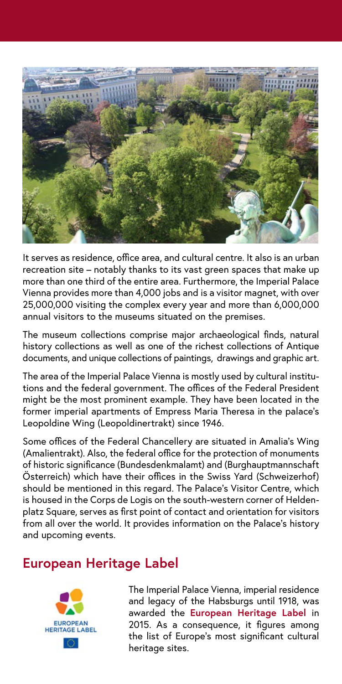

It serves as residence, office area, and cultural centre. It also is an urban recreation site – notably thanks to its vast green spaces that make up more than one third of the entire area. Furthermore, the Imperial Palace Vienna provides more than 4,000 jobs and is a visitor magnet, with over 25,000,000 visiting the complex every year and more than 6,000,000 annual visitors to the museums situated on the premises.

The museum collections comprise major archaeological finds, natural history collections as well as one of the richest collections of Antique documents, and unique collections of paintings, drawings and graphic art.

The area of the Imperial Palace Vienna is mostly used by cultural institutions and the federal government. The offices of the Federal President might be the most prominent example. They have been located in the former imperial apartments of Empress Maria Theresa in the palace's Leopoldine Wing (Leopoldinertrakt) since 1946.

Some offices of the Federal Chancellery are situated in Amalia's Wing (Amalientrakt). Also, the federal office for the protection of monuments of historic significance (Bundesdenkmalamt) and (Burghauptmannschaft Österreich) which have their offices in the Swiss Yard (Schweizerhof) should be mentioned in this regard. The Palace's Visitor Centre, which is housed in the Corps de Logis on the south-western corner of Heldenplatz Square, serves as first point of contact and orientation for visitors from all over the world. It provides information on the Palace's history and upcoming events.

#### **European Heritage Label**



The Imperial Palace Vienna, imperial residence and legacy of the Habsburgs until 1918, was awarded the **European Heritage Label** in 2015. As a consequence, it figures among the list of Europe's most significant cultural heritage sites.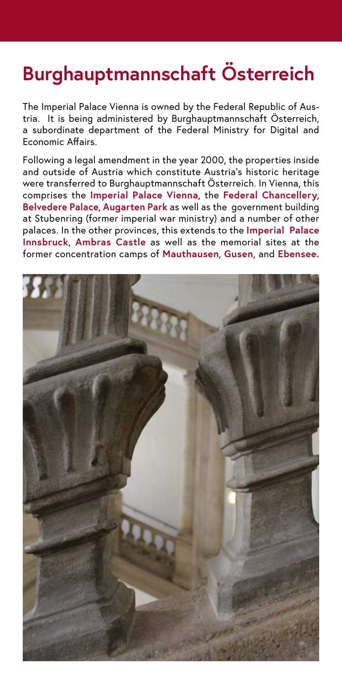## **Burghauptmannschaft Österreich**

The Imperial Palace Vienna is owned by the Federal Republic of Austria. It is being administered by Burghauptmannschaft Österreich, a subordinate department of the Federal Ministry for Digital and Economic Affairs.

Following a legal amendment in the year 2000, the properties inside and outside of Austria which constitute Austria's historic heritage were transferred to Burghauptmannschaft Österreich. In Vienna, this comprises the **Imperial Palace Vienna**, the **Federal Chancellery**, **Belvedere Palace**, **Augarten Park** as well as the government building at Stubenring (former imperial war ministry) and a number of other palaces. In the other provinces, this extends to the **Imperial Palace Innsbruck**, **Ambras Castle** as well as the memorial sites at the former concentration camps of **Mauthausen**, **Gusen,** and **Ebensee.**

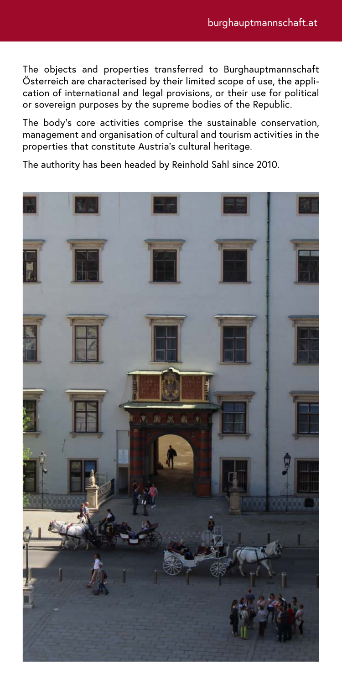The objects and properties transferred to Burghauptmannschaft Österreich are characterised by their limited scope of use, the application of international and legal provisions, or their use for political or sovereign purposes by the supreme bodies of the Republic.

The body's core activities comprise the sustainable conservation, management and organisation of cultural and tourism activities in the properties that constitute Austria's cultural heritage.

The authority has been headed by Reinhold Sahl since 2010.

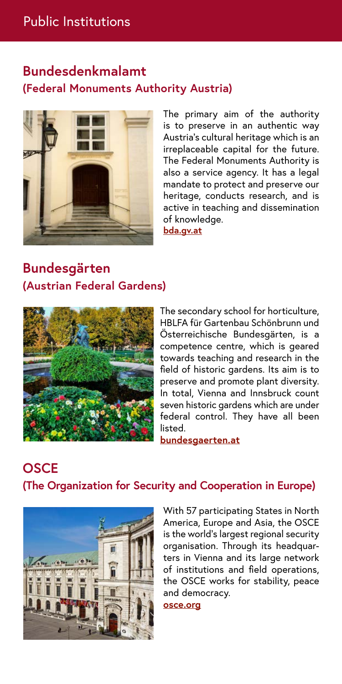## **Bundesdenkmalamt (Federal Monuments Authority Austria)**



The primary aim of the authority is to preserve in an authentic way Austria's cultural heritage which is an irreplaceable capital for the future. The Federal Monuments Authority is also a service agency. It has a legal mandate to protect and preserve our heritage, conducts research, and is active in teaching and dissemination of knowledge. **[bda.gv.at](http://bda.gv.at)**

## **Bundesgärten (Austrian Federal Gardens)**



The secondary school for horticulture, HBLFA für Gartenbau Schönbrunn und Österreichische Bundesgärten, is a competence centre, which is geared towards teaching and research in the field of historic gardens. Its aim is to preserve and promote plant diversity. In total, Vienna and Innsbruck count seven historic gardens which are under federal control. They have all been listed.

**[bundesgaerten.at](http://bundesgaerten.at)**

## **OSCE (The Organization for Security and Cooperation in Europe)**



With 57 participating States in North America, Europe and Asia, the OSCE is the world's largest regional security organisation. Through its headquarters in Vienna and its large network of institutions and field operations, the OSCE works for stability, peace and democracy.

**[osce.org](http://osce.org)**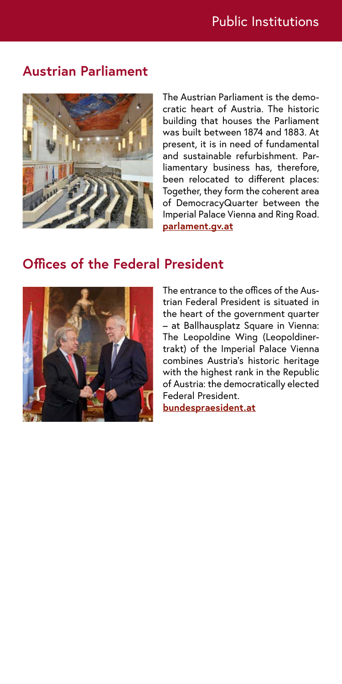#### **Austrian Parliament**



The Austrian Parliament is the democratic heart of Austria. The historic building that houses the Parliament was built between 1874 and 1883. At present, it is in need of fundamental and sustainable refurbishment. Parliamentary business has, therefore, been relocated to different places: Together, they form the coherent area of DemocracyQuarter between the Imperial Palace Vienna and Ring Road. **[parlament.gv.at](http://parlament.gv.at)**

#### **Offices of the Federal President**



The entrance to the offices of the Austrian Federal President is situated in the heart of the government quarter – at Ballhausplatz Square in Vienna: The Leopoldine Wing (Leopoldinertrakt) of the Imperial Palace Vienna combines Austria's historic heritage with the highest rank in the Republic of Austria: the democratically elected Federal President.

**[bundespraesident.at](http://bundespraesident.at)**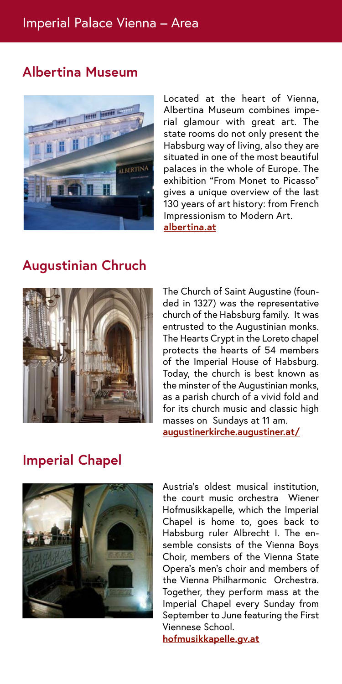## **Albertina Museum**



Located at the heart of Vienna, Albertina Museum combines imperial glamour with great art. The state rooms do not only present the Habsburg way of living, also they are situated in one of the most beautiful palaces in the whole of Europe. The exhibition "From Monet to Picasso" gives a unique overview of the last 130 years of art history: from French Impressionism to Modern Art. **[albertina.at](http://albertina.at)**

#### **Augustinian Chruch**



The Church of Saint Augustine (founded in 1327) was the representative church of the Habsburg family. It was entrusted to the Augustinian monks. The Hearts Crypt in the Loreto chapel protects the hearts of 54 members of the Imperial House of Habsburg. Today, the church is best known as the minster of the Augustinian monks, as a parish church of a vivid fold and for its church music and classic high masses on Sundays at 11 am. **[augustinerkirche.augustiner.at/](http://augustinerkirche.augustiner.at/)**

## **Imperial Chapel**



Austria's oldest musical institution, the court music orchestra Wiener Hofmusikkapelle, which the Imperial Chapel is home to, goes back to Habsburg ruler Albrecht I. The ensemble consists of the Vienna Boys Choir, members of the Vienna State Opera's men's choir and members of the Vienna Philharmonic Orchestra. Together, they perform mass at the Imperial Chapel every Sunday from September to June featuring the First Viennese School.

**hofmusikkapelle.gv.at**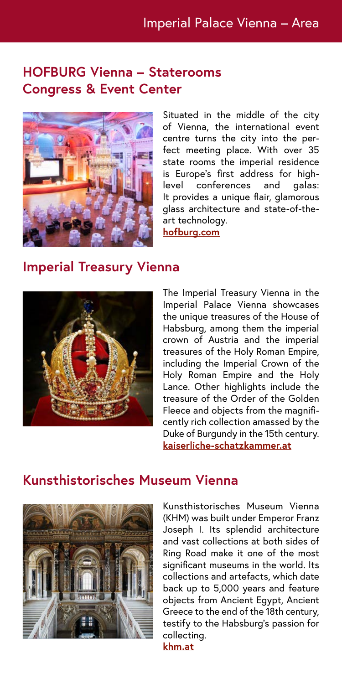#### **HOFBURG Vienna – Staterooms Congress & Event Center**



Situated in the middle of the city of Vienna, the international event centre turns the city into the perfect meeting place. With over 35 state rooms the imperial residence is Europe's first address for highlevel conferences and galas: It provides a unique flair, glamorous glass architecture and state-of-theart technology. **[hofburg.com](http://hofburg.com )**

#### **Imperial Treasury Vienna**



The Imperial Treasury Vienna in the Imperial Palace Vienna showcases the unique treasures of the House of Habsburg, among them the imperial crown of Austria and the imperial treasures of the Holy Roman Empire, including the Imperial Crown of the Holy Roman Empire and the Holy Lance. Other highlights include the treasure of the Order of the Golden Fleece and objects from the magnificently rich collection amassed by the Duke of Burgundy in the 15th century. **[kaiserliche-schatzkammer.at](http://kaiserliche-schatzkammer.at)**

#### **Kunsthistorisches Museum Vienna**



Kunsthistorisches Museum Vienna (KHM) was built under Emperor Franz Joseph I. Its splendid architecture and vast collections at both sides of Ring Road make it one of the most significant museums in the world. Its collections and artefacts, which date back up to 5,000 years and feature objects from Ancient Egypt, Ancient Greece to the end of the 18th century, testify to the Habsburg's passion for collecting.

**[khm.at](http://khm.at)**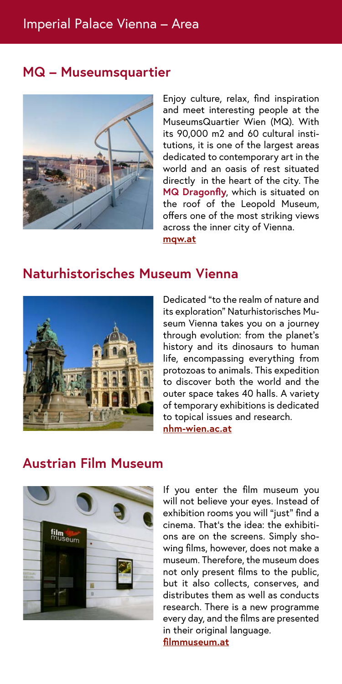#### **MQ – Museumsquartier**



Enjoy culture, relax, find inspiration and meet interesting people at the MuseumsQuartier Wien (MQ). With its 90,000 m2 and 60 cultural institutions, it is one of the largest areas dedicated to contemporary art in the world and an oasis of rest situated directly in the heart of the city. The **MQ Dragonfly**, which is situated on the roof of the Leopold Museum, offers one of the most striking views across the inner city of Vienna. **[mqw.at](http://mqw.at )**

#### **Naturhistorisches Museum Vienna**



Dedicated "to the realm of nature and its exploration" Naturhistorisches Museum Vienna takes you on a journey through evolution: from the planet's history and its dinosaurs to human life, encompassing everything from protozoas to animals. This expedition to discover both the world and the outer space takes 40 halls. A variety of temporary exhibitions is dedicated to topical issues and research. **[nhm-wien.ac.at](http://nhm-wien.ac.at)**

## **Austrian Film Museum**



If you enter the film museum you will not believe your eyes. Instead of exhibition rooms you will "just" find a cinema. That's the idea: the exhibitions are on the screens. Simply showing films, however, does not make a museum. Therefore, the museum does not only present films to the public, but it also collects, conserves, and distributes them as well as conducts research. There is a new programme every day, and the films are presented in their original language. **[filmmuseum.at](http://filmmuseum.at)**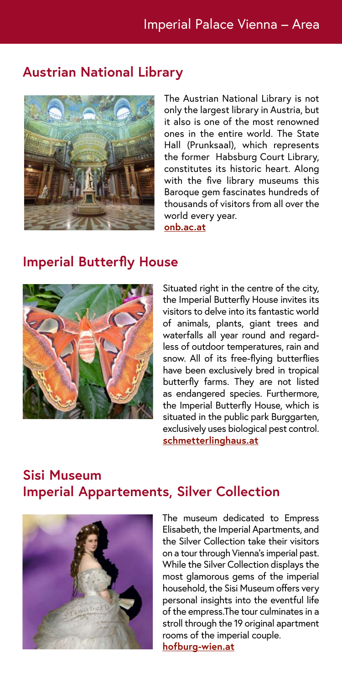#### **Austrian National Library**



The Austrian National Library is not only the largest library in Austria, but it also is one of the most renowned ones in the entire world. The State Hall (Prunksaal), which represents the former Habsburg Court Library, constitutes its historic heart. Along with the five library museums this Baroque gem fascinates hundreds of thousands of visitors from all over the world every year. **[onb.ac.at](http://onb.ac.at)**

#### **Imperial Butterfly House**



Situated right in the centre of the city, the Imperial Butterfly House invites its visitors to delve into its fantastic world of animals, plants, giant trees and waterfalls all year round and regardless of outdoor temperatures, rain and snow. All of its free-flying butterflies have been exclusively bred in tropical butterfly farms. They are not listed as endangered species. Furthermore, the Imperial Butterfly House, which is situated in the public park Burggarten, exclusively uses biological pest control. **[schmetterlinghaus.at](http://schmetterlinghaus.at)**

## **Sisi Museum Imperial Appartements, Silver Collection**



The museum dedicated to Empress Elisabeth, the Imperial Apartments, and the Silver Collection take their visitors on a tour through Vienna's imperial past. While the Silver Collection displays the most glamorous gems of the imperial household, the Sisi Museum offers very personal insights into the eventful life of the empress.The tour culminates in a stroll through the 19 original apartment rooms of the imperial couple.

**[hofburg-wien.at](http://hofburg-wien.at)**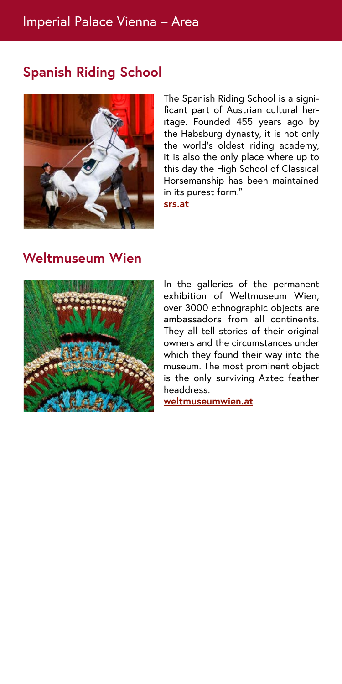## **Spanish Riding School**



The Spanish Riding School is a significant part of Austrian cultural heritage. Founded 455 years ago by the Habsburg dynasty, it is not only the world's oldest riding academy, it is also the only place where up to this day the High School of Classical Horsemanship has been maintained in its purest form."

**[srs.at](http://srs.at)**

#### **Weltmuseum Wien**



In the galleries of the permanent exhibition of Weltmuseum Wien, over 3000 ethnographic objects are ambassadors from all continents. They all tell stories of their original owners and the circumstances under which they found their way into the museum. The most prominent object is the only surviving Aztec feather headdress.

**[weltmuseumwien.at](http://weltmuseumwien.at)**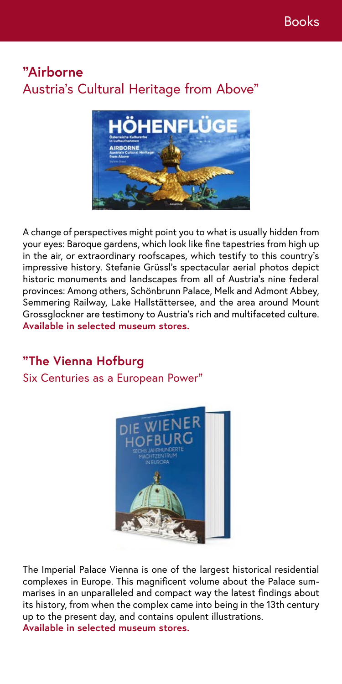## **"Airborne** Austria's Cultural Heritage from Above"



A change of perspectives might point you to what is usually hidden from your eyes: Baroque gardens, which look like fine tapestries from high up in the air, or extraordinary roofscapes, which testify to this country's impressive history. Stefanie Grüssl's spectacular aerial photos depict historic monuments and landscapes from all of Austria's nine federal provinces: Among others, Schönbrunn Palace, Melk and Admont Abbey, Semmering Railway, Lake Hallstättersee, and the area around Mount Grossglockner are testimony to Austria's rich and multifaceted culture. **Available in selected museum stores.**

## **"The Vienna Hofburg**

Six Centuries as a European Power"



The Imperial Palace Vienna is one of the largest historical residential complexes in Europe. This magnificent volume about the Palace summarises in an unparalleled and compact way the latest findings about its history, from when the complex came into being in the 13th century up to the present day, and contains opulent illustrations. **Available in selected museum stores.**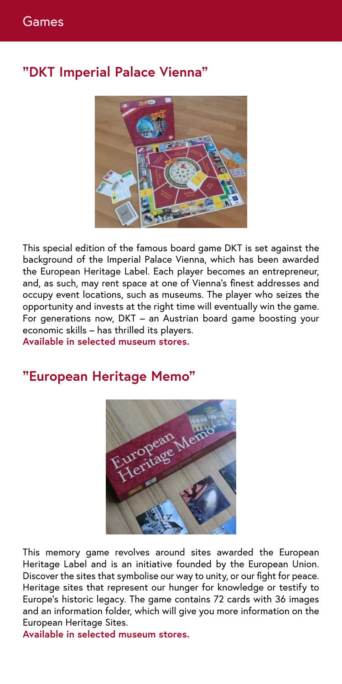## **"DKT Imperial Palace Vienna"**



This special edition of the famous board game DKT is set against the background of the Imperial Palace Vienna, which has been awarded the European Heritage Label. Each player becomes an entrepreneur, and, as such, may rent space at one of Vienna's finest addresses and occupy event locations, such as museums. The player who seizes the opportunity and invests at the right time will eventually win the game. For generations now, DKT – an Austrian board game boosting your economic skills – has thrilled its players.

**Available in selected museum stores.**

## **"European Heritage Memo"**



This memory game revolves around sites awarded the European Heritage Label and is an initiative founded by the European Union. Discover the sites that symbolise our way to unity, or our fight for peace. Heritage sites that represent our hunger for knowledge or testify to Europe's historic legacy. The game contains 72 cards with 36 images and an information folder, which will give you more information on the European Heritage Sites.

**Available in selected museum stores.**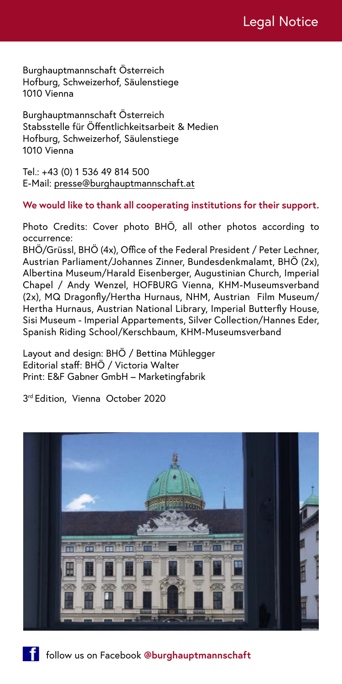Burghauptmannschaft Österreich Hofburg, Schweizerhof, Säulenstiege 1010 Vienna

Burghauptmannschaft Österreich Stabsstelle für Öffentlichkeitsarbeit & Medien Hofburg, Schweizerhof, Säulenstiege 1010 Vienna

Tel.: +43 (0) 1 536 49 814 500 E-Mail: [presse@burghauptmannschaft.at](mailto:presse%40burghauptmannschaft.at?subject=)

#### **We would like to thank all cooperating institutions for their support.**

Photo Credits: Cover photo BHÖ, all other photos according to occurrence:

BHÖ/Grüssl, BHÖ (4x), Office of the Federal President / Peter Lechner, Austrian Parliament/Johannes Zinner, Bundesdenkmalamt, BHÖ (2x), Albertina Museum/Harald Eisenberger, Augustinian Church, Imperial Chapel / Andy Wenzel, HOFBURG Vienna, KHM-Museumsverband (2x), MQ Dragonfly/Hertha Hurnaus, NHM, Austrian Film Museum/ Hertha Hurnaus, Austrian National Library, Imperial Butterfly House, Sisi Museum - Imperial Appartements, Silver Collection/Hannes Eder, Spanish Riding School/Kerschbaum, KHM-Museumsverband

Layout and design: BHÖ / Bettina Mühlegger Editorial staff: BHÖ / Victoria Walter Print: E&F Gabner GmbH – Marketingfabrik

3 rd Edition, Vienna October 2020